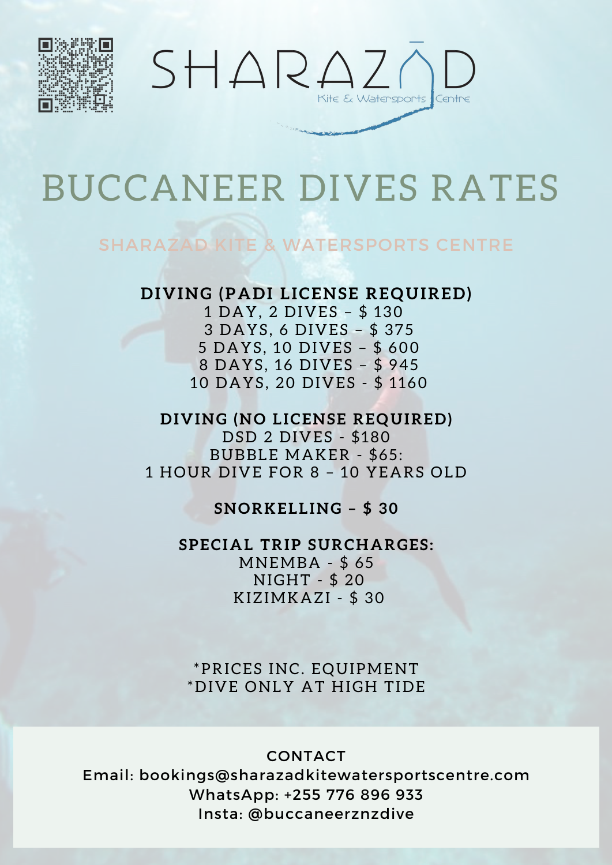



# BUCCANEER DIVES RATES

### SHARAZAD KITE & WATERSPORTS CENTRE

### **DIVING (PADI LICENSE REQUIRED)**

 DAY, 2 DIVES – \$ 130 DAYS , 6 DIVES – \$ 375 DAYS , 10 DIVES – \$ 600 DAYS , 16 DIVES – \$ 945 DAYS , 20 DIVES - \$ 1 160

**DIVING (NO LICENSE REQUIRED)** DSD 2 DIVES - \$180 BUBBLE MAKER - \$65 : 1 HOUR DIVE FOR 8 – 10 YEARS OLD

**SNORKELLING – \$ 30**

**SPECIAL TRIP SURCHARGES :** MNEMBA - \$ 65 NIGHT - \$ 20 KIZIMKAZI - \$ 30

\*PRICES INC. EQUIPMENT \*DIVE ONLY AT HIGH TIDE

#### CONTACT

Email: bookings@sharazadkitewatersportscentre.com WhatsApp: +255 776 896 933 Insta: @buccaneerznzdive